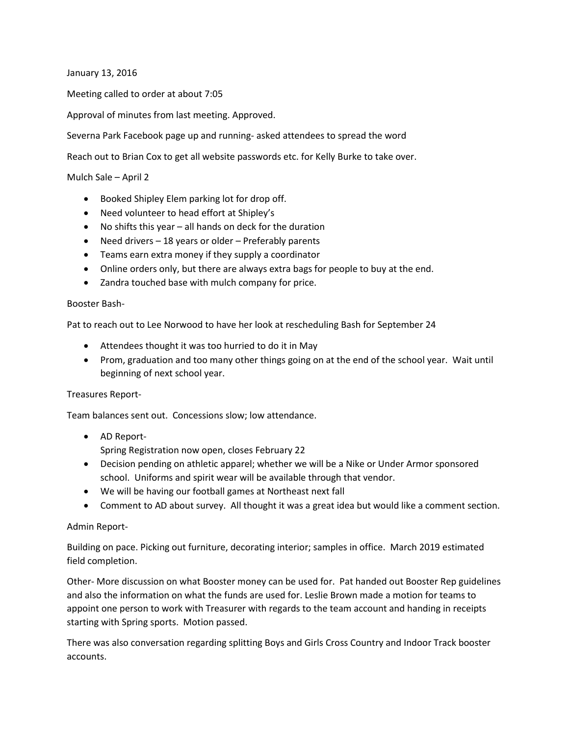January 13, 2016

Meeting called to order at about 7:05

Approval of minutes from last meeting. Approved.

Severna Park Facebook page up and running- asked attendees to spread the word

Reach out to Brian Cox to get all website passwords etc. for Kelly Burke to take over.

## Mulch Sale – April 2

- Booked Shipley Elem parking lot for drop off.
- Need volunteer to head effort at Shipley's
- No shifts this year all hands on deck for the duration
- $\bullet$  Need drivers 18 years or older Preferably parents
- Teams earn extra money if they supply a coordinator
- Online orders only, but there are always extra bags for people to buy at the end.
- Zandra touched base with mulch company for price.

## Booster Bash-

Pat to reach out to Lee Norwood to have her look at rescheduling Bash for September 24

- Attendees thought it was too hurried to do it in May
- Prom, graduation and too many other things going on at the end of the school year. Wait until beginning of next school year.

## Treasures Report-

Team balances sent out. Concessions slow; low attendance.

- AD Report-Spring Registration now open, closes February 22
- Decision pending on athletic apparel; whether we will be a Nike or Under Armor sponsored school. Uniforms and spirit wear will be available through that vendor.
- We will be having our football games at Northeast next fall
- Comment to AD about survey. All thought it was a great idea but would like a comment section.

## Admin Report-

Building on pace. Picking out furniture, decorating interior; samples in office. March 2019 estimated field completion.

Other- More discussion on what Booster money can be used for. Pat handed out Booster Rep guidelines and also the information on what the funds are used for. Leslie Brown made a motion for teams to appoint one person to work with Treasurer with regards to the team account and handing in receipts starting with Spring sports. Motion passed.

There was also conversation regarding splitting Boys and Girls Cross Country and Indoor Track booster accounts.